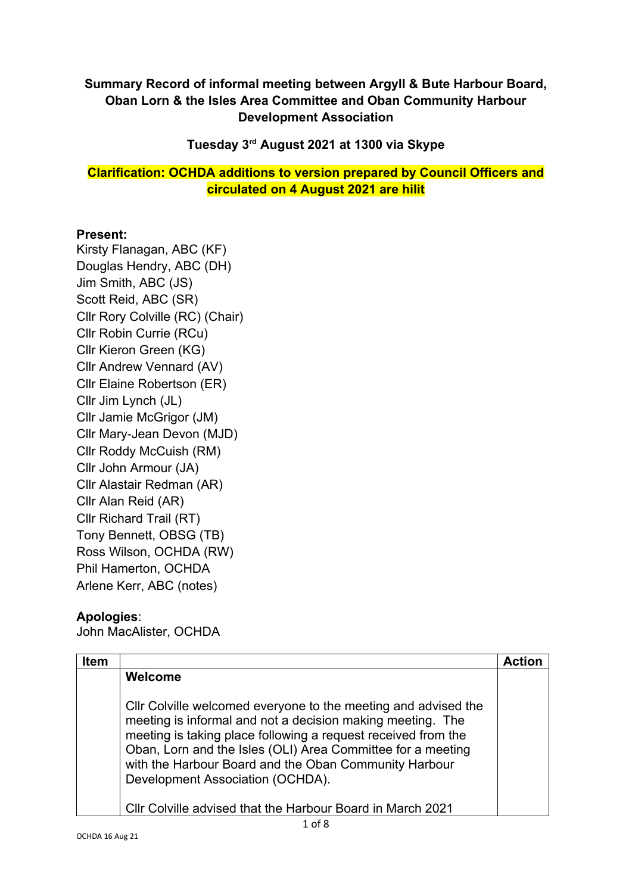## **Summary Record of informal meeting between Argyll & Bute Harbour Board, Oban Lorn & the Isles Area Committee and Oban Community Harbour Development Association**

**Tuesday 3rd August 2021 at 1300 via Skype**

**Clarification: OCHDA additions to version prepared by Council Officers and circulated on 4 August 2021 are hilit**

## **Present:**

Kirsty Flanagan, ABC (KF) Douglas Hendry, ABC (DH) Jim Smith, ABC (JS) Scott Reid, ABC (SR) Cllr Rory Colville (RC) (Chair) Cllr Robin Currie (RCu) Cllr Kieron Green (KG) Cllr Andrew Vennard (AV) Cllr Elaine Robertson (ER) Cllr Jim Lynch (JL) Cllr Jamie McGrigor (JM) Cllr Mary-Jean Devon (MJD) Cllr Roddy McCuish (RM) Cllr John Armour (JA) Cllr Alastair Redman (AR) Cllr Alan Reid (AR) Cllr Richard Trail (RT) Tony Bennett, OBSG (TB) Ross Wilson, OCHDA (RW) Phil Hamerton, OCHDA Arlene Kerr, ABC (notes)

## **Apologies**:

John MacAlister, OCHDA

| <b>Item</b> |                                                                                                                                                                                                                                                                                                                                                           | <b>Action</b> |
|-------------|-----------------------------------------------------------------------------------------------------------------------------------------------------------------------------------------------------------------------------------------------------------------------------------------------------------------------------------------------------------|---------------|
|             | Welcome                                                                                                                                                                                                                                                                                                                                                   |               |
|             | CIIr Colville welcomed everyone to the meeting and advised the<br>meeting is informal and not a decision making meeting. The<br>meeting is taking place following a request received from the<br>Oban, Lorn and the Isles (OLI) Area Committee for a meeting<br>with the Harbour Board and the Oban Community Harbour<br>Development Association (OCHDA). |               |
|             | Cllr Colville advised that the Harbour Board in March 2021                                                                                                                                                                                                                                                                                                |               |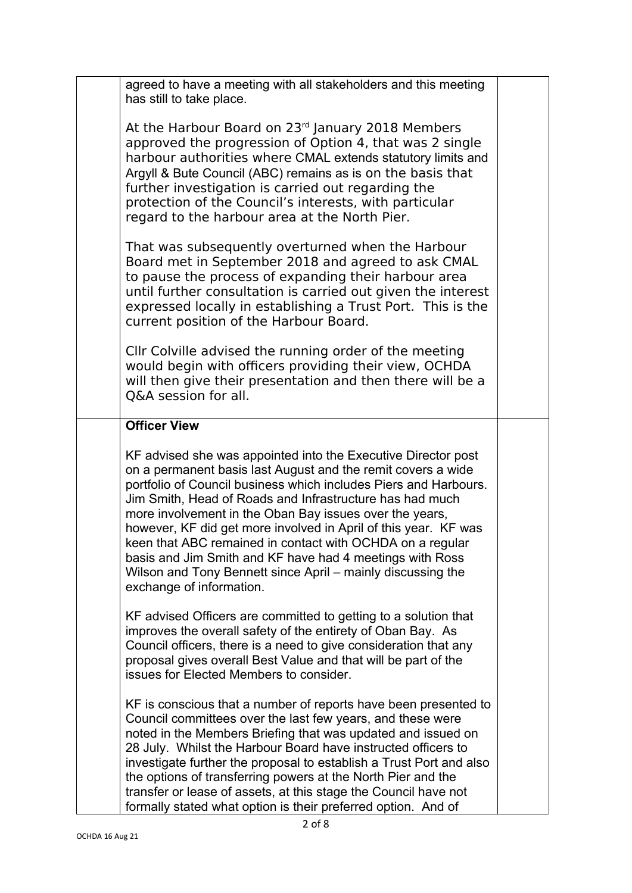| agreed to have a meeting with all stakeholders and this meeting                                                                                                                                                                                                                                                                                                                                                                                                                                                                                                                                                                                                                                                                                                     |  |
|---------------------------------------------------------------------------------------------------------------------------------------------------------------------------------------------------------------------------------------------------------------------------------------------------------------------------------------------------------------------------------------------------------------------------------------------------------------------------------------------------------------------------------------------------------------------------------------------------------------------------------------------------------------------------------------------------------------------------------------------------------------------|--|
| has still to take place.                                                                                                                                                                                                                                                                                                                                                                                                                                                                                                                                                                                                                                                                                                                                            |  |
| At the Harbour Board on 23 <sup>rd</sup> January 2018 Members<br>approved the progression of Option 4, that was 2 single<br>harbour authorities where CMAL extends statutory limits and<br>Argyll & Bute Council (ABC) remains as is on the basis that<br>further investigation is carried out regarding the<br>protection of the Council's interests, with particular<br>regard to the harbour area at the North Pier.<br>That was subsequently overturned when the Harbour<br>Board met in September 2018 and agreed to ask CMAL<br>to pause the process of expanding their harbour area<br>until further consultation is carried out given the interest<br>expressed locally in establishing a Trust Port. This is the<br>current position of the Harbour Board. |  |
| Cllr Colville advised the running order of the meeting<br>would begin with officers providing their view, OCHDA<br>will then give their presentation and then there will be a<br>O&A session for all.                                                                                                                                                                                                                                                                                                                                                                                                                                                                                                                                                               |  |
| <b>Officer View</b>                                                                                                                                                                                                                                                                                                                                                                                                                                                                                                                                                                                                                                                                                                                                                 |  |
| KF advised she was appointed into the Executive Director post<br>on a permanent basis last August and the remit covers a wide<br>portfolio of Council business which includes Piers and Harbours.<br>Jim Smith, Head of Roads and Infrastructure has had much<br>more involvement in the Oban Bay issues over the years,<br>however, KF did get more involved in April of this year. KF was<br>keen that ABC remained in contact with OCHDA on a regular<br>basis and Jim Smith and KF have had 4 meetings with Ross<br>Wilson and Tony Bennett since April – mainly discussing the<br>exchange of information.                                                                                                                                                     |  |
| KF advised Officers are committed to getting to a solution that<br>improves the overall safety of the entirety of Oban Bay. As<br>Council officers, there is a need to give consideration that any<br>proposal gives overall Best Value and that will be part of the<br>issues for Elected Members to consider.                                                                                                                                                                                                                                                                                                                                                                                                                                                     |  |
| KF is conscious that a number of reports have been presented to<br>Council committees over the last few years, and these were<br>noted in the Members Briefing that was updated and issued on<br>28 July. Whilst the Harbour Board have instructed officers to<br>investigate further the proposal to establish a Trust Port and also<br>the options of transferring powers at the North Pier and the<br>transfer or lease of assets, at this stage the Council have not<br>formally stated what option is their preferred option. And of                                                                                                                                                                                                                           |  |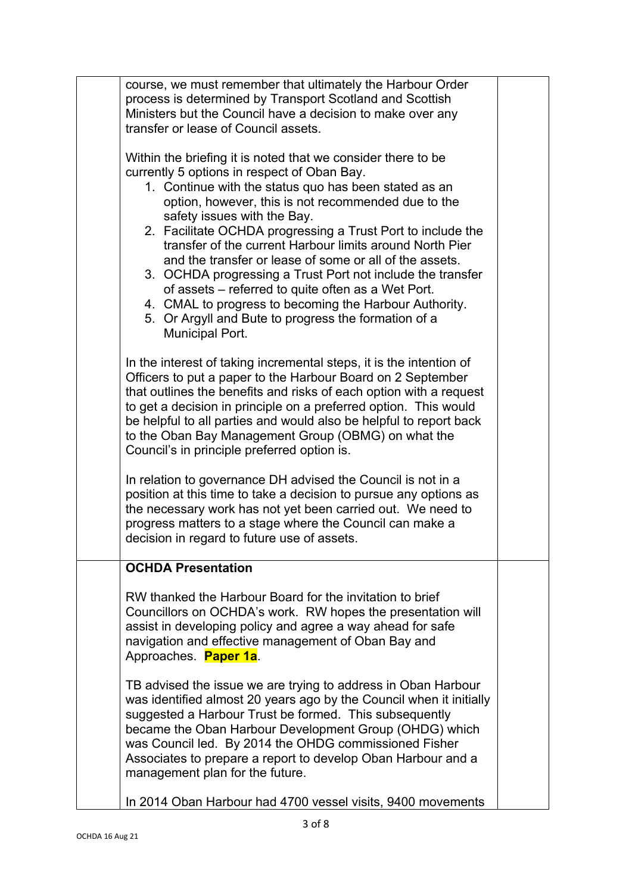|  | course, we must remember that ultimately the Harbour Order<br>process is determined by Transport Scotland and Scottish<br>Ministers but the Council have a decision to make over any<br>transfer or lease of Council assets.                                                                                                                                                                                                                                                                                                                                                                                                                                                                              |  |
|--|-----------------------------------------------------------------------------------------------------------------------------------------------------------------------------------------------------------------------------------------------------------------------------------------------------------------------------------------------------------------------------------------------------------------------------------------------------------------------------------------------------------------------------------------------------------------------------------------------------------------------------------------------------------------------------------------------------------|--|
|  | Within the briefing it is noted that we consider there to be<br>currently 5 options in respect of Oban Bay.<br>1. Continue with the status quo has been stated as an<br>option, however, this is not recommended due to the<br>safety issues with the Bay.<br>2. Facilitate OCHDA progressing a Trust Port to include the<br>transfer of the current Harbour limits around North Pier<br>and the transfer or lease of some or all of the assets.<br>3. OCHDA progressing a Trust Port not include the transfer<br>of assets – referred to quite often as a Wet Port.<br>4. CMAL to progress to becoming the Harbour Authority.<br>5. Or Argyll and Bute to progress the formation of a<br>Municipal Port. |  |
|  | In the interest of taking incremental steps, it is the intention of<br>Officers to put a paper to the Harbour Board on 2 September<br>that outlines the benefits and risks of each option with a request<br>to get a decision in principle on a preferred option. This would<br>be helpful to all parties and would also be helpful to report back<br>to the Oban Bay Management Group (OBMG) on what the<br>Council's in principle preferred option is.                                                                                                                                                                                                                                                  |  |
|  | In relation to governance DH advised the Council is not in a<br>position at this time to take a decision to pursue any options as<br>the necessary work has not yet been carried out. We need to<br>progress matters to a stage where the Council can make a<br>decision in regard to future use of assets.                                                                                                                                                                                                                                                                                                                                                                                               |  |
|  | <b>OCHDA Presentation</b>                                                                                                                                                                                                                                                                                                                                                                                                                                                                                                                                                                                                                                                                                 |  |
|  | RW thanked the Harbour Board for the invitation to brief<br>Councillors on OCHDA's work. RW hopes the presentation will<br>assist in developing policy and agree a way ahead for safe<br>navigation and effective management of Oban Bay and<br>Approaches. Paper 1a.                                                                                                                                                                                                                                                                                                                                                                                                                                     |  |
|  | TB advised the issue we are trying to address in Oban Harbour<br>was identified almost 20 years ago by the Council when it initially<br>suggested a Harbour Trust be formed. This subsequently<br>became the Oban Harbour Development Group (OHDG) which<br>was Council led. By 2014 the OHDG commissioned Fisher<br>Associates to prepare a report to develop Oban Harbour and a<br>management plan for the future.                                                                                                                                                                                                                                                                                      |  |
|  | In 2014 Oban Harbour had 4700 vessel visits, 9400 movements                                                                                                                                                                                                                                                                                                                                                                                                                                                                                                                                                                                                                                               |  |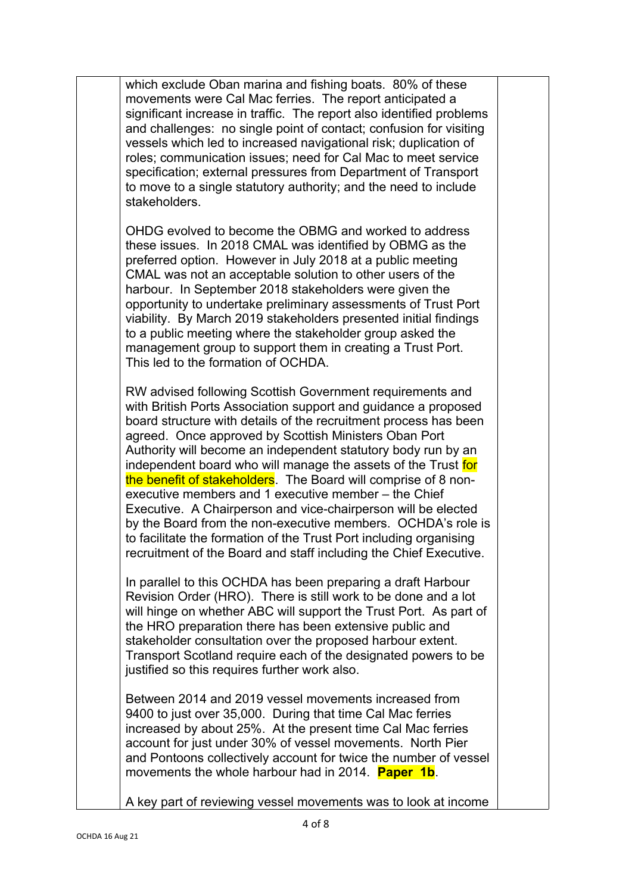| which exclude Oban marina and fishing boats. 80% of these<br>movements were Cal Mac ferries. The report anticipated a<br>significant increase in traffic. The report also identified problems<br>and challenges: no single point of contact; confusion for visiting<br>vessels which led to increased navigational risk; duplication of<br>roles; communication issues; need for Cal Mac to meet service<br>specification; external pressures from Department of Transport<br>to move to a single statutory authority; and the need to include<br>stakeholders.                                                                                                                                                                                                                                  |  |
|--------------------------------------------------------------------------------------------------------------------------------------------------------------------------------------------------------------------------------------------------------------------------------------------------------------------------------------------------------------------------------------------------------------------------------------------------------------------------------------------------------------------------------------------------------------------------------------------------------------------------------------------------------------------------------------------------------------------------------------------------------------------------------------------------|--|
| OHDG evolved to become the OBMG and worked to address<br>these issues. In 2018 CMAL was identified by OBMG as the<br>preferred option. However in July 2018 at a public meeting<br>CMAL was not an acceptable solution to other users of the<br>harbour. In September 2018 stakeholders were given the<br>opportunity to undertake preliminary assessments of Trust Port<br>viability. By March 2019 stakeholders presented initial findings<br>to a public meeting where the stakeholder group asked the<br>management group to support them in creating a Trust Port.<br>This led to the formation of OCHDA.                                                                                                                                                                                   |  |
| RW advised following Scottish Government requirements and<br>with British Ports Association support and guidance a proposed<br>board structure with details of the recruitment process has been<br>agreed. Once approved by Scottish Ministers Oban Port<br>Authority will become an independent statutory body run by an<br>independent board who will manage the assets of the Trust for<br>the benefit of stakeholders. The Board will comprise of 8 non-<br>executive members and 1 executive member - the Chief<br>Executive. A Chairperson and vice-chairperson will be elected<br>by the Board from the non-executive members. OCHDA's role is<br>to facilitate the formation of the Trust Port including organising<br>recruitment of the Board and staff including the Chief Executive. |  |
| In parallel to this OCHDA has been preparing a draft Harbour<br>Revision Order (HRO). There is still work to be done and a lot<br>will hinge on whether ABC will support the Trust Port. As part of<br>the HRO preparation there has been extensive public and<br>stakeholder consultation over the proposed harbour extent.<br>Transport Scotland require each of the designated powers to be<br>justified so this requires further work also.                                                                                                                                                                                                                                                                                                                                                  |  |
| Between 2014 and 2019 vessel movements increased from<br>9400 to just over 35,000. During that time Cal Mac ferries<br>increased by about 25%. At the present time Cal Mac ferries<br>account for just under 30% of vessel movements. North Pier<br>and Pontoons collectively account for twice the number of vessel<br>movements the whole harbour had in 2014. <b>Paper 1b</b> .                                                                                                                                                                                                                                                                                                                                                                                                               |  |
| A key part of reviewing vessel movements was to look at income                                                                                                                                                                                                                                                                                                                                                                                                                                                                                                                                                                                                                                                                                                                                   |  |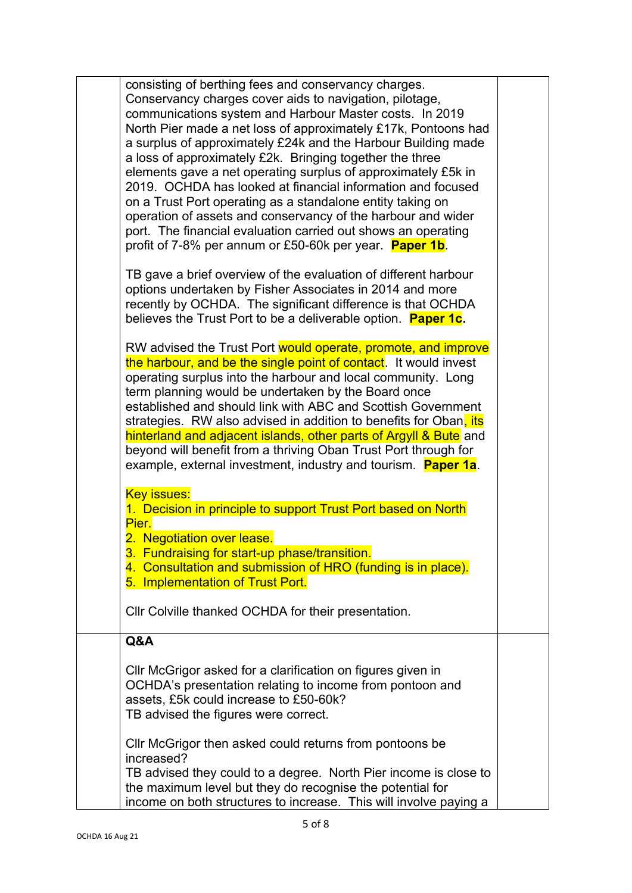| consisting of berthing fees and conservancy charges.<br>Conservancy charges cover aids to navigation, pilotage,<br>communications system and Harbour Master costs. In 2019<br>North Pier made a net loss of approximately £17k, Pontoons had<br>a surplus of approximately £24k and the Harbour Building made<br>a loss of approximately £2k. Bringing together the three<br>elements gave a net operating surplus of approximately £5k in<br>2019. OCHDA has looked at financial information and focused<br>on a Trust Port operating as a standalone entity taking on<br>operation of assets and conservancy of the harbour and wider<br>port. The financial evaluation carried out shows an operating |  |
|----------------------------------------------------------------------------------------------------------------------------------------------------------------------------------------------------------------------------------------------------------------------------------------------------------------------------------------------------------------------------------------------------------------------------------------------------------------------------------------------------------------------------------------------------------------------------------------------------------------------------------------------------------------------------------------------------------|--|
| profit of 7-8% per annum or £50-60k per year. <b>Paper 1b</b> .<br>TB gave a brief overview of the evaluation of different harbour<br>options undertaken by Fisher Associates in 2014 and more<br>recently by OCHDA. The significant difference is that OCHDA<br>believes the Trust Port to be a deliverable option. Paper 1c.                                                                                                                                                                                                                                                                                                                                                                           |  |
| RW advised the Trust Port would operate, promote, and improve<br>the harbour, and be the single point of contact. It would invest<br>operating surplus into the harbour and local community. Long<br>term planning would be undertaken by the Board once<br>established and should link with ABC and Scottish Government<br>strategies. RW also advised in addition to benefits for Oban, its<br>hinterland and adjacent islands, other parts of Argyll & Bute and<br>beyond will benefit from a thriving Oban Trust Port through for<br>example, external investment, industry and tourism. <b>Paper 1a</b> .                                                                                           |  |
| <b>Key issues:</b><br>1. Decision in principle to support Trust Port based on North<br>Pier.<br>2. Negotiation over lease.<br>3. Fundraising for start-up phase/transition.<br>4. Consultation and submission of HRO (funding is in place).<br>5. Implementation of Trust Port.<br>Cllr Colville thanked OCHDA for their presentation.                                                                                                                                                                                                                                                                                                                                                                   |  |
| Q&A                                                                                                                                                                                                                                                                                                                                                                                                                                                                                                                                                                                                                                                                                                      |  |
| CIIr McGrigor asked for a clarification on figures given in<br>OCHDA's presentation relating to income from pontoon and<br>assets, £5k could increase to £50-60k?<br>TB advised the figures were correct.                                                                                                                                                                                                                                                                                                                                                                                                                                                                                                |  |
| CIIr McGrigor then asked could returns from pontoons be<br>increased?<br>TB advised they could to a degree. North Pier income is close to<br>the maximum level but they do recognise the potential for<br>income on both structures to increase. This will involve paying a                                                                                                                                                                                                                                                                                                                                                                                                                              |  |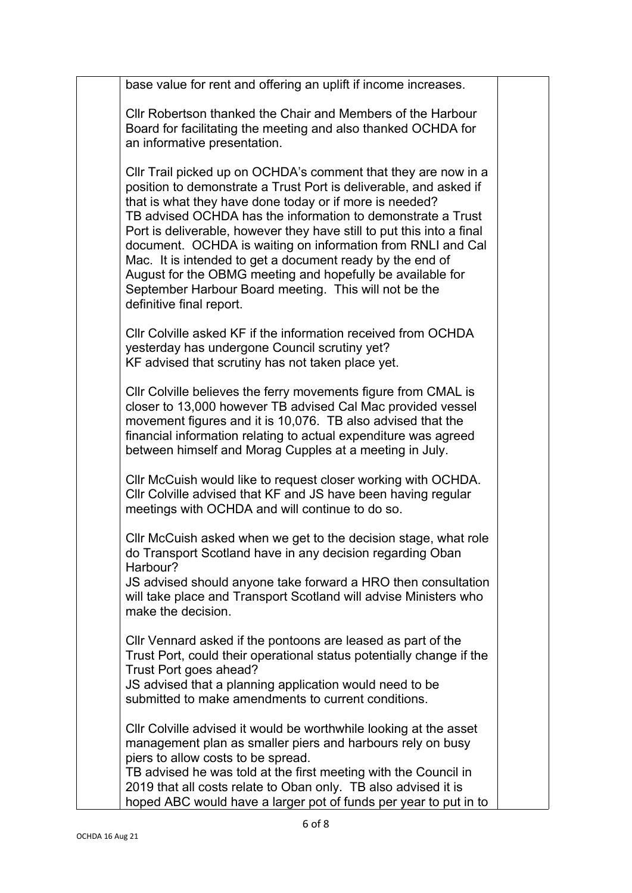| base value for rent and offering an uplift if income increases.                                                                                                                                                                                                                                                                                                                                                                                                                                                                                                                                                       |  |
|-----------------------------------------------------------------------------------------------------------------------------------------------------------------------------------------------------------------------------------------------------------------------------------------------------------------------------------------------------------------------------------------------------------------------------------------------------------------------------------------------------------------------------------------------------------------------------------------------------------------------|--|
| Cllr Robertson thanked the Chair and Members of the Harbour<br>Board for facilitating the meeting and also thanked OCHDA for<br>an informative presentation.                                                                                                                                                                                                                                                                                                                                                                                                                                                          |  |
| CIIr Trail picked up on OCHDA's comment that they are now in a<br>position to demonstrate a Trust Port is deliverable, and asked if<br>that is what they have done today or if more is needed?<br>TB advised OCHDA has the information to demonstrate a Trust<br>Port is deliverable, however they have still to put this into a final<br>document. OCHDA is waiting on information from RNLI and Cal<br>Mac. It is intended to get a document ready by the end of<br>August for the OBMG meeting and hopefully be available for<br>September Harbour Board meeting. This will not be the<br>definitive final report. |  |
| CIIr Colville asked KF if the information received from OCHDA<br>yesterday has undergone Council scrutiny yet?<br>KF advised that scrutiny has not taken place yet.                                                                                                                                                                                                                                                                                                                                                                                                                                                   |  |
| CIIr Colville believes the ferry movements figure from CMAL is<br>closer to 13,000 however TB advised Cal Mac provided vessel<br>movement figures and it is 10,076. TB also advised that the<br>financial information relating to actual expenditure was agreed<br>between himself and Morag Cupples at a meeting in July.                                                                                                                                                                                                                                                                                            |  |
| CIIr McCuish would like to request closer working with OCHDA.<br>CIIr Colville advised that KF and JS have been having regular<br>meetings with OCHDA and will continue to do so.                                                                                                                                                                                                                                                                                                                                                                                                                                     |  |
| Cllr McCuish asked when we get to the decision stage, what role<br>do Transport Scotland have in any decision regarding Oban<br>Harbour?                                                                                                                                                                                                                                                                                                                                                                                                                                                                              |  |
| JS advised should anyone take forward a HRO then consultation<br>will take place and Transport Scotland will advise Ministers who<br>make the decision.                                                                                                                                                                                                                                                                                                                                                                                                                                                               |  |
| Cllr Vennard asked if the pontoons are leased as part of the<br>Trust Port, could their operational status potentially change if the<br>Trust Port goes ahead?<br>JS advised that a planning application would need to be                                                                                                                                                                                                                                                                                                                                                                                             |  |
| submitted to make amendments to current conditions.                                                                                                                                                                                                                                                                                                                                                                                                                                                                                                                                                                   |  |
| CIIr Colville advised it would be worthwhile looking at the asset<br>management plan as smaller piers and harbours rely on busy<br>piers to allow costs to be spread.<br>TB advised he was told at the first meeting with the Council in                                                                                                                                                                                                                                                                                                                                                                              |  |
| 2019 that all costs relate to Oban only. TB also advised it is<br>hoped ABC would have a larger pot of funds per year to put in to                                                                                                                                                                                                                                                                                                                                                                                                                                                                                    |  |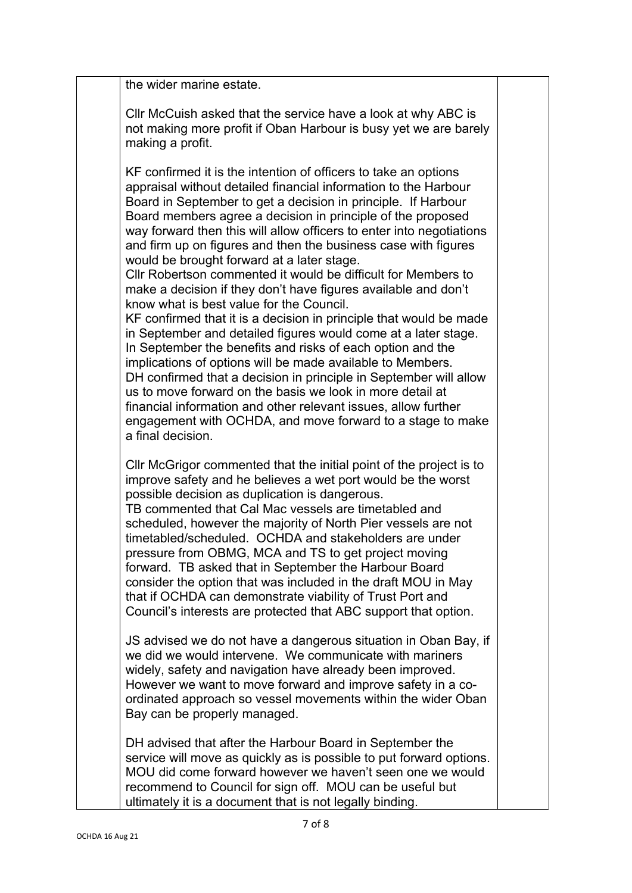| the wider marine estate.                                                                                                                                                                                                                                                                                                                                                                                                                                                                                                                                                                                                                                                                                                                                                                                                                                                                                                                                                                                                                                                                                                                                                                             |  |
|------------------------------------------------------------------------------------------------------------------------------------------------------------------------------------------------------------------------------------------------------------------------------------------------------------------------------------------------------------------------------------------------------------------------------------------------------------------------------------------------------------------------------------------------------------------------------------------------------------------------------------------------------------------------------------------------------------------------------------------------------------------------------------------------------------------------------------------------------------------------------------------------------------------------------------------------------------------------------------------------------------------------------------------------------------------------------------------------------------------------------------------------------------------------------------------------------|--|
| CIIr McCuish asked that the service have a look at why ABC is<br>not making more profit if Oban Harbour is busy yet we are barely<br>making a profit.                                                                                                                                                                                                                                                                                                                                                                                                                                                                                                                                                                                                                                                                                                                                                                                                                                                                                                                                                                                                                                                |  |
| KF confirmed it is the intention of officers to take an options<br>appraisal without detailed financial information to the Harbour<br>Board in September to get a decision in principle. If Harbour<br>Board members agree a decision in principle of the proposed<br>way forward then this will allow officers to enter into negotiations<br>and firm up on figures and then the business case with figures<br>would be brought forward at a later stage.<br>CIIr Robertson commented it would be difficult for Members to<br>make a decision if they don't have figures available and don't<br>know what is best value for the Council.<br>KF confirmed that it is a decision in principle that would be made<br>in September and detailed figures would come at a later stage.<br>In September the benefits and risks of each option and the<br>implications of options will be made available to Members.<br>DH confirmed that a decision in principle in September will allow<br>us to move forward on the basis we look in more detail at<br>financial information and other relevant issues, allow further<br>engagement with OCHDA, and move forward to a stage to make<br>a final decision. |  |
| CIIr McGrigor commented that the initial point of the project is to<br>improve safety and he believes a wet port would be the worst<br>possible decision as duplication is dangerous.<br>TB commented that Cal Mac vessels are timetabled and<br>scheduled, however the majority of North Pier vessels are not<br>timetabled/scheduled. OCHDA and stakeholders are under<br>pressure from OBMG, MCA and TS to get project moving<br>forward. TB asked that in September the Harbour Board<br>consider the option that was included in the draft MOU in May<br>that if OCHDA can demonstrate viability of Trust Port and<br>Council's interests are protected that ABC support that option.                                                                                                                                                                                                                                                                                                                                                                                                                                                                                                           |  |
| JS advised we do not have a dangerous situation in Oban Bay, if<br>we did we would intervene. We communicate with mariners<br>widely, safety and navigation have already been improved.<br>However we want to move forward and improve safety in a co-<br>ordinated approach so vessel movements within the wider Oban<br>Bay can be properly managed.                                                                                                                                                                                                                                                                                                                                                                                                                                                                                                                                                                                                                                                                                                                                                                                                                                               |  |
| DH advised that after the Harbour Board in September the<br>service will move as quickly as is possible to put forward options.<br>MOU did come forward however we haven't seen one we would<br>recommend to Council for sign off. MOU can be useful but<br>ultimately it is a document that is not legally binding.                                                                                                                                                                                                                                                                                                                                                                                                                                                                                                                                                                                                                                                                                                                                                                                                                                                                                 |  |